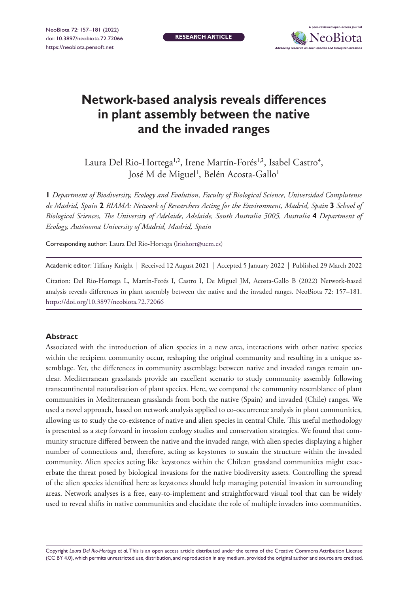**RESEARCH ARTICLE**



# **Network-based analysis reveals differences in plant assembly between the native and the invaded ranges**

Laura Del Rio-Hortega<sup>1,2</sup>, Irene Martín-Forés<sup>1,3</sup>, Isabel Castro<sup>4</sup>, José M de Miguel', Belén Acosta-Gallo'

**1** *Department of Biodiversity, Ecology and Evolution, Faculty of Biological Science, Universidad Complutense de Madrid, Spain* **2** *RIAMA: Network of Researchers Acting for the Environment, Madrid, Spain* **3** *School of Biological Sciences, The University of Adelaide, Adelaide, South Australia 5005, Australia* **4** *Department of Ecology, Autónoma University of Madrid, Madrid, Spain*

Corresponding author: Laura Del Rio-Hortega ([lriohort@ucm.es](mailto:lriohort@ucm.es))

Academic editor: Tiffany Knight | Received 12 August 2021 | Accepted 5 January 2022 | Published 29 March 2022

Citation: Del Rio-Hortega L, Martín-Forés I, Castro I, De Miguel JM, Acosta-Gallo B (2022) Network-based analysis reveals differences in plant assembly between the native and the invaded ranges. NeoBiota 72: 157–181. <https://doi.org/10.3897/neobiota.72.72066>

#### **Abstract**

Associated with the introduction of alien species in a new area, interactions with other native species within the recipient community occur, reshaping the original community and resulting in a unique assemblage. Yet, the differences in community assemblage between native and invaded ranges remain unclear. Mediterranean grasslands provide an excellent scenario to study community assembly following transcontinental naturalisation of plant species. Here, we compared the community resemblance of plant communities in Mediterranean grasslands from both the native (Spain) and invaded (Chile) ranges. We used a novel approach, based on network analysis applied to co-occurrence analysis in plant communities, allowing us to study the co-existence of native and alien species in central Chile. This useful methodology is presented as a step forward in invasion ecology studies and conservation strategies. We found that community structure differed between the native and the invaded range, with alien species displaying a higher number of connections and, therefore, acting as keystones to sustain the structure within the invaded community. Alien species acting like keystones within the Chilean grassland communities might exacerbate the threat posed by biological invasions for the native biodiversity assets. Controlling the spread of the alien species identified here as keystones should help managing potential invasion in surrounding areas. Network analyses is a free, easy-to-implement and straightforward visual tool that can be widely used to reveal shifts in native communities and elucidate the role of multiple invaders into communities.

Copyright *Laura Del Rio-Hortega et al.* This is an open access article distributed under the terms of the [Creative Commons Attribution License](http://creativecommons.org/licenses/by/4.0/)  [\(CC BY 4.0\)](http://creativecommons.org/licenses/by/4.0/), which permits unrestricted use, distribution, and reproduction in any medium, provided the original author and source are credited.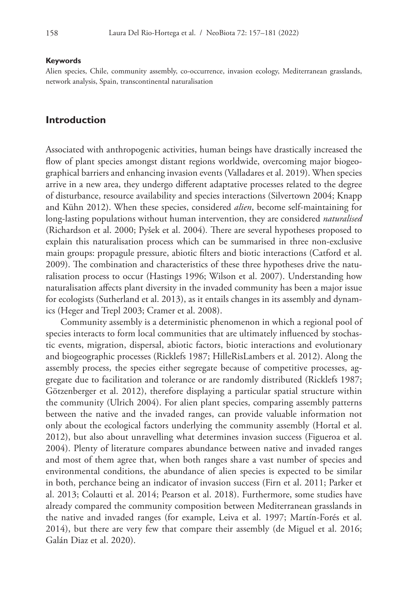#### **Keywords**

Alien species, Chile, community assembly, co-occurrence, invasion ecology, Mediterranean grasslands, network analysis, Spain, transcontinental naturalisation

### **Introduction**

Associated with anthropogenic activities, human beings have drastically increased the flow of plant species amongst distant regions worldwide, overcoming major biogeographical barriers and enhancing invasion events (Valladares et al. 2019). When species arrive in a new area, they undergo different adaptative processes related to the degree of disturbance, resource availability and species interactions (Silvertown 2004; Knapp and Kühn 2012). When these species, considered *alien*, become self-maintaining for long-lasting populations without human intervention, they are considered *naturalised*  (Richardson et al. 2000; Pyšek et al. 2004)*.* There are several hypotheses proposed to explain this naturalisation process which can be summarised in three non-exclusive main groups: propagule pressure, abiotic filters and biotic interactions (Catford et al. 2009). The combination and characteristics of these three hypotheses drive the naturalisation process to occur (Hastings 1996; Wilson et al. 2007). Understanding how naturalisation affects plant diversity in the invaded community has been a major issue for ecologists (Sutherland et al. 2013), as it entails changes in its assembly and dynamics (Heger and Trepl 2003; Cramer et al. 2008).

Community assembly is a deterministic phenomenon in which a regional pool of species interacts to form local communities that are ultimately influenced by stochastic events, migration, dispersal, abiotic factors, biotic interactions and evolutionary and biogeographic processes (Ricklefs 1987; HilleRisLambers et al. 2012). Along the assembly process, the species either segregate because of competitive processes, aggregate due to facilitation and tolerance or are randomly distributed (Ricklefs 1987; Götzenberger et al. 2012), therefore displaying a particular spatial structure within the community (Ulrich 2004). For alien plant species, comparing assembly patterns between the native and the invaded ranges, can provide valuable information not only about the ecological factors underlying the community assembly (Hortal et al. 2012), but also about unravelling what determines invasion success (Figueroa et al. 2004). Plenty of literature compares abundance between native and invaded ranges and most of them agree that, when both ranges share a vast number of species and environmental conditions, the abundance of alien species is expected to be similar in both, perchance being an indicator of invasion success (Firn et al. 2011; Parker et al. 2013; Colautti et al. 2014; Pearson et al. 2018). Furthermore, some studies have already compared the community composition between Mediterranean grasslands in the native and invaded ranges (for example, Leiva et al. 1997; Martín-Forés et al. 2014), but there are very few that compare their assembly (de Miguel et al. 2016; Galán Diaz et al. 2020).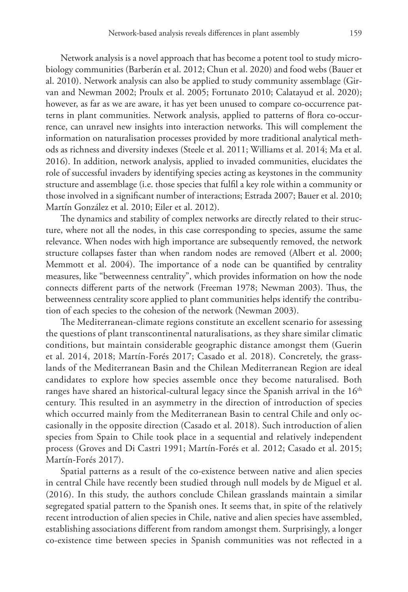Network analysis is a novel approach that has become a potent tool to study microbiology communities (Barberán et al. 2012; Chun et al. 2020) and food webs (Bauer et al. 2010). Network analysis can also be applied to study community assemblage (Girvan and Newman 2002; Proulx et al. 2005; Fortunato 2010; Calatayud et al. 2020); however, as far as we are aware, it has yet been unused to compare co-occurrence patterns in plant communities. Network analysis, applied to patterns of flora co-occurrence, can unravel new insights into interaction networks. This will complement the information on naturalisation processes provided by more traditional analytical methods as richness and diversity indexes (Steele et al. 2011; Williams et al. 2014; Ma et al. 2016). In addition, network analysis, applied to invaded communities, elucidates the role of successful invaders by identifying species acting as keystones in the community structure and assemblage (i.e. those species that fulfil a key role within a community or those involved in a significant number of interactions; Estrada 2007; Bauer et al. 2010; Martín González et al. 2010; Eiler et al. 2012).

The dynamics and stability of complex networks are directly related to their structure, where not all the nodes, in this case corresponding to species, assume the same relevance. When nodes with high importance are subsequently removed, the network structure collapses faster than when random nodes are removed (Albert et al. 2000; Memmott et al. 2004). The importance of a node can be quantified by centrality measures, like "betweenness centrality", which provides information on how the node connects different parts of the network (Freeman 1978; Newman 2003). Thus, the betweenness centrality score applied to plant communities helps identify the contribution of each species to the cohesion of the network (Newman 2003).

The Mediterranean-climate regions constitute an excellent scenario for assessing the questions of plant transcontinental naturalisations, as they share similar climatic conditions, but maintain considerable geographic distance amongst them (Guerin et al. 2014, 2018; Martín-Forés 2017; Casado et al. 2018). Concretely, the grasslands of the Mediterranean Basin and the Chilean Mediterranean Region are ideal candidates to explore how species assemble once they become naturalised. Both ranges have shared an historical-cultural legacy since the Spanish arrival in the  $16<sup>th</sup>$ century. This resulted in an asymmetry in the direction of introduction of species which occurred mainly from the Mediterranean Basin to central Chile and only occasionally in the opposite direction (Casado et al. 2018). Such introduction of alien species from Spain to Chile took place in a sequential and relatively independent process (Groves and Di Castri 1991; Martín-Forés et al. 2012; Casado et al. 2015; Martín-Forés 2017).

Spatial patterns as a result of the co-existence between native and alien species in central Chile have recently been studied through null models by de Miguel et al. (2016). In this study, the authors conclude Chilean grasslands maintain a similar segregated spatial pattern to the Spanish ones. It seems that, in spite of the relatively recent introduction of alien species in Chile, native and alien species have assembled, establishing associations different from random amongst them. Surprisingly, a longer co-existence time between species in Spanish communities was not reflected in a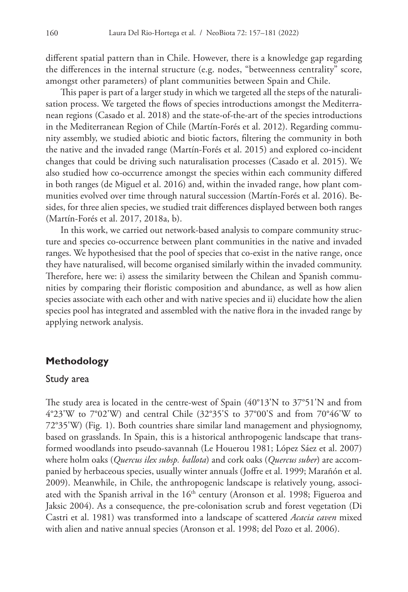different spatial pattern than in Chile. However, there is a knowledge gap regarding the differences in the internal structure (e.g. nodes, "betweenness centrality" score, amongst other parameters) of plant communities between Spain and Chile.

This paper is part of a larger study in which we targeted all the steps of the naturalisation process. We targeted the flows of species introductions amongst the Mediterranean regions (Casado et al. 2018) and the state-of-the-art of the species introductions in the Mediterranean Region of Chile (Martín-Forés et al. 2012). Regarding community assembly, we studied abiotic and biotic factors, filtering the community in both the native and the invaded range (Martín-Forés et al. 2015) and explored co-incident changes that could be driving such naturalisation processes (Casado et al. 2015). We also studied how co-occurrence amongst the species within each community differed in both ranges (de Miguel et al. 2016) and, within the invaded range, how plant communities evolved over time through natural succession (Martín-Forés et al. 2016). Besides, for three alien species, we studied trait differences displayed between both ranges (Martín-Forés et al. 2017, 2018a, b).

In this work, we carried out network-based analysis to compare community structure and species co-occurrence between plant communities in the native and invaded ranges. We hypothesised that the pool of species that co-exist in the native range, once they have naturalised, will become organised similarly within the invaded community. Therefore, here we: i) assess the similarity between the Chilean and Spanish communities by comparing their floristic composition and abundance, as well as how alien species associate with each other and with native species and ii) elucidate how the alien species pool has integrated and assembled with the native flora in the invaded range by applying network analysis.

# **Methodology**

#### Study area

The study area is located in the centre-west of Spain (40°13'N to 37°51'N and from 4°23'W to 7°02'W) and central Chile (32°35'S to 37°00'S and from 70°46'W to 72°35'W) (Fig. 1). Both countries share similar land management and physiognomy, based on grasslands. In Spain, this is a historical anthropogenic landscape that transformed woodlands into pseudo-savannah (Le Houerou 1981; López Sáez et al. 2007) where holm oaks (*Quercus ilex subsp. ballota*) and cork oaks (*Quercus suber*) are accompanied by herbaceous species, usually winter annuals (Joffre et al. 1999; Marañón et al. 2009). Meanwhile, in Chile, the anthropogenic landscape is relatively young, associated with the Spanish arrival in the  $16<sup>th</sup>$  century (Aronson et al. 1998; Figueroa and Jaksic 2004). As a consequence, the pre-colonisation scrub and forest vegetation (Di Castri et al. 1981) was transformed into a landscape of scattered *Acacia caven* mixed with alien and native annual species (Aronson et al. 1998; del Pozo et al. 2006).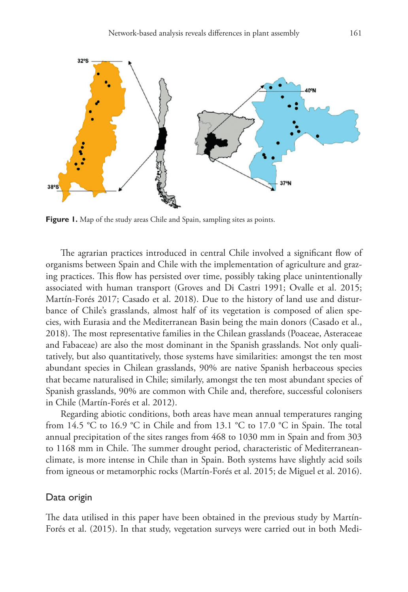

Figure 1. Map of the study areas Chile and Spain, sampling sites as points.

The agrarian practices introduced in central Chile involved a significant flow of organisms between Spain and Chile with the implementation of agriculture and grazing practices. This flow has persisted over time, possibly taking place unintentionally associated with human transport (Groves and Di Castri 1991; Ovalle et al. 2015; Martín-Forés 2017; Casado et al. 2018). Due to the history of land use and disturbance of Chile's grasslands, almost half of its vegetation is composed of alien species, with Eurasia and the Mediterranean Basin being the main donors (Casado et al., 2018). The most representative families in the Chilean grasslands (Poaceae, Asteraceae and Fabaceae) are also the most dominant in the Spanish grasslands. Not only qualitatively, but also quantitatively, those systems have similarities: amongst the ten most abundant species in Chilean grasslands, 90% are native Spanish herbaceous species that became naturalised in Chile; similarly, amongst the ten most abundant species of Spanish grasslands, 90% are common with Chile and, therefore, successful colonisers in Chile (Martín-Forés et al. 2012).

Regarding abiotic conditions, both areas have mean annual temperatures ranging from 14.5 °C to 16.9 °C in Chile and from 13.1 °C to 17.0 °C in Spain. The total annual precipitation of the sites ranges from 468 to 1030 mm in Spain and from 303 to 1168 mm in Chile. The summer drought period, characteristic of Mediterraneanclimate, is more intense in Chile than in Spain. Both systems have slightly acid soils from igneous or metamorphic rocks (Martín-Forés et al. 2015; de Miguel et al. 2016).

#### Data origin

The data utilised in this paper have been obtained in the previous study by Martín-Forés et al. (2015). In that study, vegetation surveys were carried out in both Medi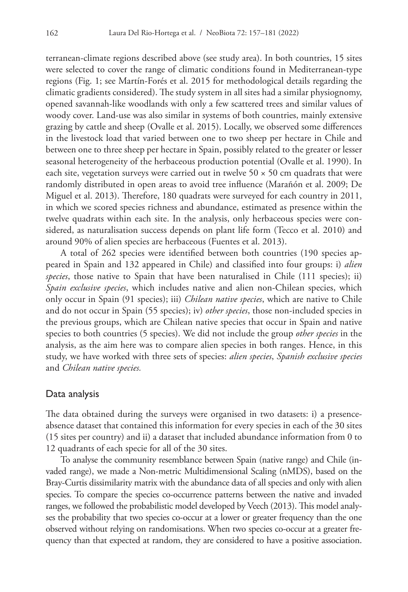terranean-climate regions described above (see study area). In both countries, 15 sites were selected to cover the range of climatic conditions found in Mediterranean-type regions (Fig. 1; see Martín-Forés et al. 2015 for methodological details regarding the climatic gradients considered). The study system in all sites had a similar physiognomy, opened savannah-like woodlands with only a few scattered trees and similar values of woody cover. Land-use was also similar in systems of both countries, mainly extensive grazing by cattle and sheep (Ovalle et al. 2015). Locally, we observed some differences in the livestock load that varied between one to two sheep per hectare in Chile and between one to three sheep per hectare in Spain, possibly related to the greater or lesser seasonal heterogeneity of the herbaceous production potential (Ovalle et al. 1990). In each site, vegetation surveys were carried out in twelve  $50 \times 50$  cm quadrats that were randomly distributed in open areas to avoid tree influence (Marañón et al. 2009; De Miguel et al. 2013). Therefore, 180 quadrats were surveyed for each country in 2011, in which we scored species richness and abundance, estimated as presence within the twelve quadrats within each site. In the analysis, only herbaceous species were considered, as naturalisation success depends on plant life form (Tecco et al. 2010) and around 90% of alien species are herbaceous (Fuentes et al. 2013).

A total of 262 species were identified between both countries (190 species appeared in Spain and 132 appeared in Chile) and classified into four groups: i) *alien species*, those native to Spain that have been naturalised in Chile (111 species); ii) *Spain exclusive species*, which includes native and alien non-Chilean species, which only occur in Spain (91 species); iii) *Chilean native species*, which are native to Chile and do not occur in Spain (55 species); iv) *other species*, those non-included species in the previous groups, which are Chilean native species that occur in Spain and native species to both countries (5 species). We did not include the group *other species* in the analysis, as the aim here was to compare alien species in both ranges. Hence, in this study, we have worked with three sets of species: *alien species*, *Spanish exclusive species* and *Chilean native species.*

### Data analysis

The data obtained during the surveys were organised in two datasets: i) a presenceabsence dataset that contained this information for every species in each of the 30 sites (15 sites per country) and ii) a dataset that included abundance information from 0 to 12 quadrants of each specie for all of the 30 sites.

To analyse the community resemblance between Spain (native range) and Chile (invaded range), we made a Non-metric Multidimensional Scaling (nMDS), based on the Bray-Curtis dissimilarity matrix with the abundance data of all species and only with alien species. To compare the species co-occurrence patterns between the native and invaded ranges, we followed the probabilistic model developed by Veech (2013). This model analyses the probability that two species co-occur at a lower or greater frequency than the one observed without relying on randomisations. When two species co-occur at a greater frequency than that expected at random, they are considered to have a positive association.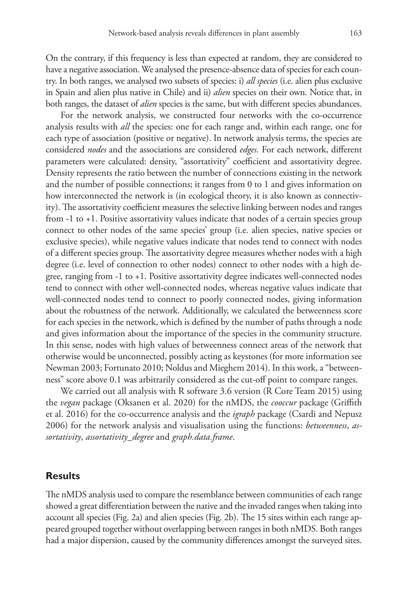On the contrary, if this frequency is less than expected at random, they are considered to have a negative association. We analysed the presence-absence data of species for each country. In both ranges, we analysed two subsets of species: i) *all species* (i.e. alien plus exclusive in Spain and alien plus native in Chile) and ii) *alien* species on their own. Notice that, in both ranges, the dataset of *alien* species is the same, but with different species abundances.

For the network analysis, we constructed four networks with the co-occurrence analysis results with *all* the species: one for each range and, within each range, one for each type of association (positive or negative). In network analysis terms, the species are considered *nodes* and the associations are considered *edges.* For each network, different parameters were calculated: density, "assortativity" coefficient and assortativity degree. Density represents the ratio between the number of connections existing in the network and the number of possible connections; it ranges from 0 to 1 and gives information on how interconnected the network is (in ecological theory, it is also known as connectivity). The assortativity coefficient measures the selective linking between nodes and ranges from -1 to +1. Positive assortativity values indicate that nodes of a certain species group connect to other nodes of the same species' group (i.e. alien species, native species or exclusive species), while negative values indicate that nodes tend to connect with nodes of a different species group. The assortativity degree measures whether nodes with a high degree (i.e. level of connection to other nodes) connect to other nodes with a high degree, ranging from -1 to +1. Positive assortativity degree indicates well-connected nodes tend to connect with other well-connected nodes, whereas negative values indicate that well-connected nodes tend to connect to poorly connected nodes, giving information about the robustness of the network. Additionally, we calculated the betweenness score for each species in the network, which is defined by the number of paths through a node and gives information about the importance of the species in the community structure. In this sense, nodes with high values of betweenness connect areas of the network that otherwise would be unconnected, possibly acting as keystones (for more information see Newman 2003; Fortunato 2010; Noldus and Mieghem 2014). In this work, a "betweenness" score above 0.1 was arbitrarily considered as the cut-off point to compare ranges.

We carried out all analysis with R software 3.6 version (R Core Team 2015) using the *vegan* package (Oksanen et al. 2020) for the nMDS, the *cooccur* package (Griffith et al. 2016) for the co-occurrence analysis and the *igraph* package (Csardi and Nepusz 2006) for the network analysis and visualisation using the functions: *betweenness*, *assortativity*, *assortativity\_degree* and *graph.data.frame*.

## **Results**

The nMDS analysis used to compare the resemblance between communities of each range showed a great differentiation between the native and the invaded ranges when taking into account all species (Fig. 2a) and alien species (Fig. 2b). The 15 sites within each range appeared grouped together without overlapping between ranges in both nMDS. Both ranges had a major dispersion, caused by the community differences amongst the surveyed sites.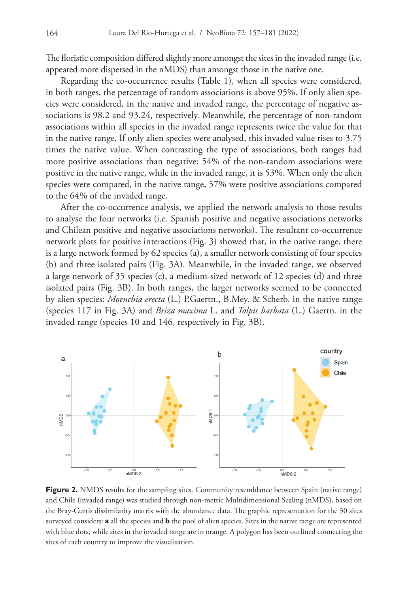The floristic composition differed slightly more amongst the sites in the invaded range (i.e. appeared more dispersed in the nMDS) than amongst those in the native one.

Regarding the co-occurrence results (Table 1), when all species were considered, in both ranges, the percentage of random associations is above 95%. If only alien species were considered, in the native and invaded range, the percentage of negative associations is 98.2 and 93.24, respectively. Meanwhile, the percentage of non-random associations within all species in the invaded range represents twice the value for that in the native range. If only alien species were analysed, this invaded value rises to 3.75 times the native value. When contrasting the type of associations, both ranges had more positive associations than negative: 54% of the non-random associations were positive in the native range, while in the invaded range, it is 53%. When only the alien species were compared, in the native range, 57% were positive associations compared to the 64% of the invaded range.

After the co-occurrence analysis, we applied the network analysis to those results to analyse the four networks (i.e. Spanish positive and negative associations networks and Chilean positive and negative associations networks). The resultant co-occurrence network plots for positive interactions (Fig. 3) showed that, in the native range, there is a large network formed by 62 species (a), a smaller network consisting of four species (b) and three isolated pairs (Fig. 3A). Meanwhile, in the invaded range, we observed a large network of 35 species (c), a medium-sized network of 12 species (d) and three isolated pairs (Fig. 3B). In both ranges, the larger networks seemed to be connected by alien species: *Moenchia erecta* (L.) P.Gaertn., B.Mey. & Scherb. in the native range (species 117 in Fig. 3A) and *Briza maxima* L. and *Tolpis barbata* (L.) Gaertn. in the invaded range (species 10 and 146, respectively in Fig. 3B).



**Figure 2.** NMDS results for the sampling sites. Community resemblance between Spain (native range) and Chile (invaded range) was studied through non-metric Multidimensional Scaling (nMDS), based on the Bray-Curtis dissimilarity matrix with the abundance data. The graphic representation for the 30 sites surveyed considers: **a** all the species and **b** the pool of alien species. Sites in the native range are represented with blue dots, while sites in the invaded range are in orange. A polygon has been outlined connecting the sites of each country to improve the visualisation.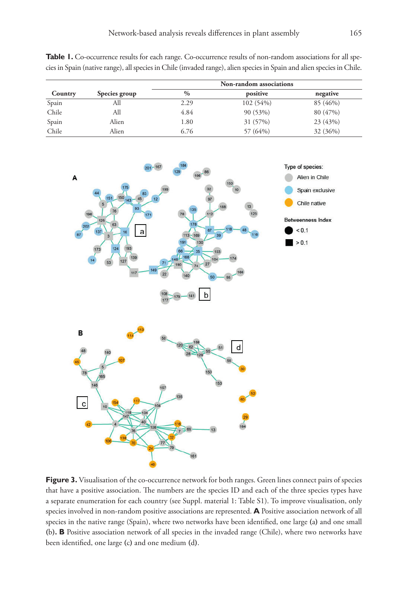**Table 1.** Co-occurrence results for each range. Co-occurrence results of non-random associations for all species in Spain (native range), all species in Chile (invaded range), alien species in Spain and alien species in Chile.

|         |               | Non-random associations |          |          |  |
|---------|---------------|-------------------------|----------|----------|--|
| Country | Species group | $\frac{0}{0}$           | positive | negative |  |
| Spain   | All           | 2.29                    | 102(54%) | 85 (46%) |  |
| Chile   | All           | 4.84                    | 90 (53%) | 80 (47%) |  |
| Spain   | Alien         | 1.80                    | 31 (57%) | 23 (43%) |  |
| Chile   | Alien         | 6.76                    | 57 (64%) | 32 (36%) |  |



Figure 3. Visualisation of the co-occurrence network for both ranges. Green lines connect pairs of species that have a positive association. The numbers are the species ID and each of the three species types have a separate enumeration for each country (see Suppl. material 1: Table S1). To improve visualisation, only species involved in non-random positive associations are represented. **A** Positive association network of all species in the native range (Spain), where two networks have been identified, one large **(**a**)** and one small **(**b**). B** Positive association network of all species in the invaded range (Chile), where two networks have been identified, one large **(**c**)** and one medium **(**d**)**.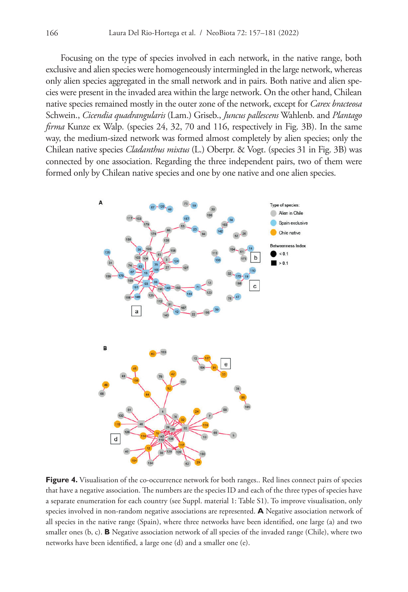Focusing on the type of species involved in each network, in the native range, both exclusive and alien species were homogeneously intermingled in the large network, whereas only alien species aggregated in the small network and in pairs. Both native and alien species were present in the invaded area within the large network. On the other hand, Chilean native species remained mostly in the outer zone of the network, except for *Carex bracteosa*  Schwein., *Cicendia quadrangularis* (Lam.) Griseb., *Juncus pallescens* Wahlenb. and *Plantago firma* Kunze ex Walp. (species 24, 32, 70 and 116, respectively in Fig. 3B). In the same way, the medium-sized network was formed almost completely by alien species; only the Chilean native species *Cladanthus mixtus* (L.) Oberpr. & Vogt. (species 31 in Fig. 3B) was connected by one association. Regarding the three independent pairs, two of them were formed only by Chilean native species and one by one native and one alien species.



Figure 4. Visualisation of the co-occurrence network for both ranges.. Red lines connect pairs of species that have a negative association. The numbers are the species ID and each of the three types of species have a separate enumeration for each country (see Suppl. material 1: Table S1). To improve visualisation, only species involved in non-random negative associations are represented. **A** Negative association network of all species in the native range (Spain), where three networks have been identified, one large (a) and two smaller ones (b, c). **B** Negative association network of all species of the invaded range (Chile), where two networks have been identified, a large one (d) and a smaller one (e).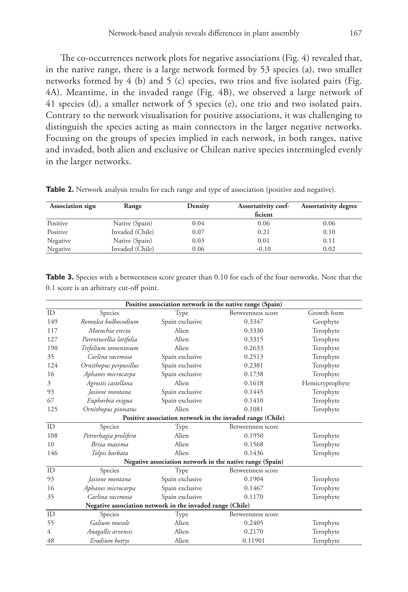The co-occurrences network plots for negative associations (Fig. 4) revealed that, in the native range, there is a large network formed by 53 species (a), two smaller networks formed by 4 (b) and 5 (c) species, two trios and five isolated pairs (Fig. 4A). Meantime, in the invaded range (Fig. 4B), we observed a large network of 41 species (d), a smaller network of 5 species (e), one trio and two isolated pairs. Contrary to the network visualisation for positive associations, it was challenging to distinguish the species acting as main connectors in the larger negative networks. Focusing on the groups of species implied in each network, in both ranges, native and invaded, both alien and exclusive or Chilean native species intermingled evenly in the larger networks.

| <b>Association sign</b> | Range           | Density | <b>Assortativity coef-</b> | <b>Assortativity degree</b> |
|-------------------------|-----------------|---------|----------------------------|-----------------------------|
|                         |                 |         | ficient                    |                             |
| Positive                | Native (Spain)  | 0.04    | 0.06                       | 0.06                        |
| Positive                | Invaded (Chile) | 0.07    | 0.21                       | 0.10                        |
| Negative                | Native (Spain)  | 0.03    | 0.01                       | 0.11                        |
| Negative                | Invaded (Chile) | 0.06    | $-0.10$                    | 0.02                        |

**Table 2.** Network analysis results for each range and type of association (positive and negative).

| <b>Table 3.</b> Species with a betweenness score greater than 0.10 for each of the four networks. Note that the |  |  |
|-----------------------------------------------------------------------------------------------------------------|--|--|
| 0.1 score is an arbitrary cut-off point.                                                                        |  |  |

| Positive association network in the native range (Spain)  |                                                           |                 |                   |                 |  |  |
|-----------------------------------------------------------|-----------------------------------------------------------|-----------------|-------------------|-----------------|--|--|
| ID                                                        | Species                                                   | Type            | Betweenness score | Growth form     |  |  |
| 149                                                       | Romulea bulbocodium                                       | Spain exclusive | 0.3347            | Geophyte        |  |  |
| 117                                                       | Moenchia erecta                                           | Alien           | 0.3330            | Terophyte       |  |  |
| 127                                                       | Parentucellia latifolia                                   | Alien           | 0.3315            | Terophyte       |  |  |
| 190                                                       | Trifolium tomentosum                                      | Alien           | 0.2633            | Terophyte       |  |  |
| 35                                                        | Carlina racemosa                                          | Spain exclusive | 0.2513            | Terophyte       |  |  |
| 124                                                       | Ornithopus perpusillus                                    | Spain exclusive | 0.2381            | Terophyte       |  |  |
| 16                                                        | Aphanes microcarpa                                        | Spain exclusive | 0.1738            | Terophyte       |  |  |
| 3                                                         | Agrostis castellana                                       | Alien           | 0.1618            | Hemicryptophyte |  |  |
| 93                                                        | Jasione montana                                           | Spain exclusive | 0.1445            | Terophyte       |  |  |
| 67                                                        | Euphorbia exigua                                          | Spain exclusive | 0.1410            | Terophyte       |  |  |
| 125                                                       | Ornithopus pinnatus                                       | Alien           | 0.1081            | Terophyte       |  |  |
|                                                           | Positive association network in the invaded range (Chile) |                 |                   |                 |  |  |
| ID                                                        | Species                                                   | Type            | Betweenness score |                 |  |  |
| 108                                                       | Petrorhagia prolifera                                     | Alien           | 0.1950            | Terophyte       |  |  |
| 10                                                        | Briza maxima                                              | Alien           | 0.1568            | Terophyte       |  |  |
| 146                                                       | Tolpis barbata                                            | Alien           | 0.1436            | Terophyte       |  |  |
| Negative association network in the native range (Spain)  |                                                           |                 |                   |                 |  |  |
| ID                                                        | Species                                                   | Type            | Betweenness score |                 |  |  |
| 93                                                        | Jasione montana                                           | Spain exclusive | 0.1904            | Terophyte       |  |  |
| 16                                                        | Aphanes microcarpa                                        | Spain exclusive | 0.1467            | Terophyte       |  |  |
| 35                                                        | Carlina racemosa                                          | Spain exclusive | 0.1170            | Terophyte       |  |  |
| Negative association network in the invaded range (Chile) |                                                           |                 |                   |                 |  |  |
| ID                                                        | Species                                                   | Type            | Betweenness score |                 |  |  |
| 55                                                        | Galium murale                                             | Alien           | 0.2405            | Terophyte       |  |  |
| 4                                                         | Anagallis arvensis                                        | Alien           | 0.2170            | Terophyte       |  |  |
| 48                                                        | Erodium botrys                                            | Alien           | 0.11901           | Terophyte       |  |  |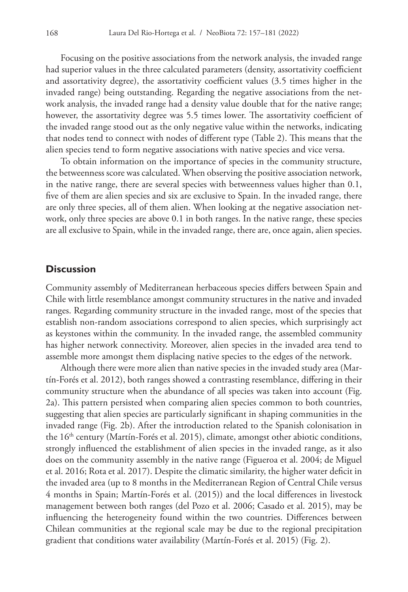Focusing on the positive associations from the network analysis, the invaded range had superior values in the three calculated parameters (density, assortativity coefficient and assortativity degree), the assortativity coefficient values (3.5 times higher in the invaded range) being outstanding. Regarding the negative associations from the network analysis, the invaded range had a density value double that for the native range; however, the assortativity degree was 5.5 times lower. The assortativity coefficient of the invaded range stood out as the only negative value within the networks, indicating that nodes tend to connect with nodes of different type (Table 2). This means that the alien species tend to form negative associations with native species and vice versa.

To obtain information on the importance of species in the community structure, the betweenness score was calculated. When observing the positive association network, in the native range, there are several species with betweenness values higher than 0.1, five of them are alien species and six are exclusive to Spain. In the invaded range, there are only three species, all of them alien. When looking at the negative association network, only three species are above 0.1 in both ranges. In the native range, these species are all exclusive to Spain, while in the invaded range, there are, once again, alien species.

### **Discussion**

Community assembly of Mediterranean herbaceous species differs between Spain and Chile with little resemblance amongst community structures in the native and invaded ranges. Regarding community structure in the invaded range, most of the species that establish non-random associations correspond to alien species, which surprisingly act as keystones within the community. In the invaded range, the assembled community has higher network connectivity. Moreover, alien species in the invaded area tend to assemble more amongst them displacing native species to the edges of the network.

Although there were more alien than native species in the invaded study area (Martín-Forés et al. 2012), both ranges showed a contrasting resemblance, differing in their community structure when the abundance of all species was taken into account (Fig. 2a). This pattern persisted when comparing alien species common to both countries, suggesting that alien species are particularly significant in shaping communities in the invaded range (Fig. 2b). After the introduction related to the Spanish colonisation in the  $16<sup>th</sup>$  century (Martín-Forés et al. 2015), climate, amongst other abiotic conditions, strongly influenced the establishment of alien species in the invaded range, as it also does on the community assembly in the native range (Figueroa et al. 2004; de Miguel et al. 2016; Rota et al. 2017). Despite the climatic similarity, the higher water deficit in the invaded area (up to 8 months in the Mediterranean Region of Central Chile versus 4 months in Spain; Martín-Forés et al. (2015)) and the local differences in livestock management between both ranges (del Pozo et al. 2006; Casado et al. 2015), may be influencing the heterogeneity found within the two countries. Differences between Chilean communities at the regional scale may be due to the regional precipitation gradient that conditions water availability (Martín-Forés et al. 2015) (Fig. 2).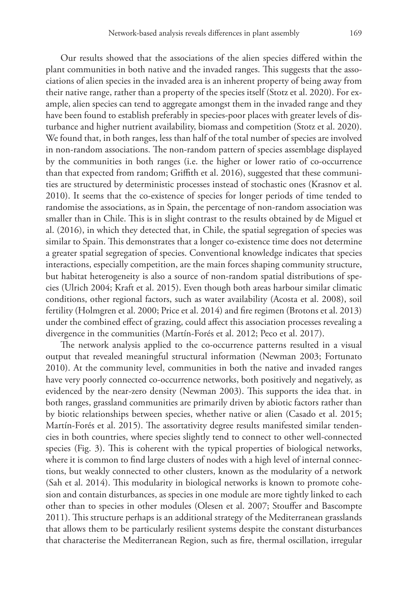Our results showed that the associations of the alien species differed within the plant communities in both native and the invaded ranges. This suggests that the associations of alien species in the invaded area is an inherent property of being away from their native range, rather than a property of the species itself (Stotz et al. 2020). For example, alien species can tend to aggregate amongst them in the invaded range and they have been found to establish preferably in species-poor places with greater levels of disturbance and higher nutrient availability, biomass and competition (Stotz et al. 2020). We found that, in both ranges, less than half of the total number of species are involved in non-random associations. The non-random pattern of species assemblage displayed by the communities in both ranges (i.e. the higher or lower ratio of co-occurrence than that expected from random; Griffith et al. 2016), suggested that these communities are structured by deterministic processes instead of stochastic ones (Krasnov et al. 2010). It seems that the co-existence of species for longer periods of time tended to randomise the associations, as in Spain, the percentage of non-random association was smaller than in Chile. This is in slight contrast to the results obtained by de Miguel et al. (2016), in which they detected that, in Chile, the spatial segregation of species was similar to Spain. This demonstrates that a longer co-existence time does not determine a greater spatial segregation of species. Conventional knowledge indicates that species interactions, especially competition, are the main forces shaping community structure, but habitat heterogeneity is also a source of non-random spatial distributions of species (Ulrich 2004; Kraft et al. 2015). Even though both areas harbour similar climatic conditions, other regional factors, such as water availability (Acosta et al. 2008), soil fertility (Holmgren et al. 2000; Price et al. 2014) and fire regimen (Brotons et al. 2013) under the combined effect of grazing, could affect this association processes revealing a divergence in the communities (Martín-Forés et al. 2012; Peco et al. 2017).

The network analysis applied to the co-occurrence patterns resulted in a visual output that revealed meaningful structural information (Newman 2003; Fortunato 2010). At the community level, communities in both the native and invaded ranges have very poorly connected co-occurrence networks, both positively and negatively, as evidenced by the near-zero density (Newman 2003). This supports the idea that. in both ranges, grassland communities are primarily driven by abiotic factors rather than by biotic relationships between species, whether native or alien (Casado et al. 2015; Martín-Forés et al. 2015). The assortativity degree results manifested similar tendencies in both countries, where species slightly tend to connect to other well-connected species (Fig. 3). This is coherent with the typical properties of biological networks, where it is common to find large clusters of nodes with a high level of internal connections, but weakly connected to other clusters, known as the modularity of a network (Sah et al. 2014). This modularity in biological networks is known to promote cohesion and contain disturbances, as species in one module are more tightly linked to each other than to species in other modules (Olesen et al. 2007; Stouffer and Bascompte 2011). This structure perhaps is an additional strategy of the Mediterranean grasslands that allows them to be particularly resilient systems despite the constant disturbances that characterise the Mediterranean Region, such as fire, thermal oscillation, irregular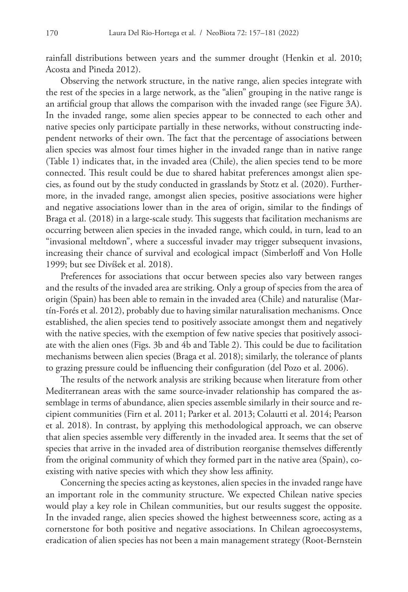rainfall distributions between years and the summer drought (Henkin et al. 2010; Acosta and Pineda 2012).

Observing the network structure, in the native range, alien species integrate with the rest of the species in a large network, as the "alien" grouping in the native range is an artificial group that allows the comparison with the invaded range (see Figure 3A). In the invaded range, some alien species appear to be connected to each other and native species only participate partially in these networks, without constructing independent networks of their own. The fact that the percentage of associations between alien species was almost four times higher in the invaded range than in native range (Table 1) indicates that, in the invaded area (Chile), the alien species tend to be more connected. This result could be due to shared habitat preferences amongst alien species, as found out by the study conducted in grasslands by Stotz et al. (2020). Furthermore, in the invaded range, amongst alien species, positive associations were higher and negative associations lower than in the area of origin, similar to the findings of Braga et al. (2018) in a large-scale study. This suggests that facilitation mechanisms are occurring between alien species in the invaded range, which could, in turn, lead to an "invasional meltdown", where a successful invader may trigger subsequent invasions, increasing their chance of survival and ecological impact (Simberloff and Von Holle 1999; but see Divíšek et al. 2018).

Preferences for associations that occur between species also vary between ranges and the results of the invaded area are striking. Only a group of species from the area of origin (Spain) has been able to remain in the invaded area (Chile) and naturalise (Martín-Forés et al. 2012), probably due to having similar naturalisation mechanisms. Once established, the alien species tend to positively associate amongst them and negatively with the native species, with the exemption of few native species that positively associate with the alien ones (Figs. 3b and 4b and Table 2). This could be due to facilitation mechanisms between alien species (Braga et al. 2018); similarly, the tolerance of plants to grazing pressure could be influencing their configuration (del Pozo et al. 2006).

The results of the network analysis are striking because when literature from other Mediterranean areas with the same source-invader relationship has compared the assemblage in terms of abundance, alien species assemble similarly in their source and recipient communities (Firn et al. 2011; Parker et al. 2013; Colautti et al. 2014; Pearson et al. 2018). In contrast, by applying this methodological approach, we can observe that alien species assemble very differently in the invaded area. It seems that the set of species that arrive in the invaded area of distribution reorganise themselves differently from the original community of which they formed part in the native area (Spain), coexisting with native species with which they show less affinity.

Concerning the species acting as keystones, alien species in the invaded range have an important role in the community structure. We expected Chilean native species would play a key role in Chilean communities, but our results suggest the opposite. In the invaded range, alien species showed the highest betweenness score, acting as a cornerstone for both positive and negative associations. In Chilean agroecosystems, eradication of alien species has not been a main management strategy (Root-Bernstein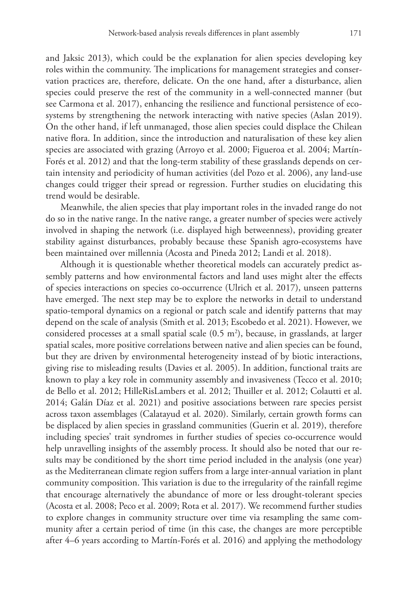and Jaksic 2013), which could be the explanation for alien species developing key roles within the community. The implications for management strategies and conservation practices are, therefore, delicate. On the one hand, after a disturbance, alien species could preserve the rest of the community in a well-connected manner (but see Carmona et al. 2017), enhancing the resilience and functional persistence of ecosystems by strengthening the network interacting with native species (Aslan 2019). On the other hand, if left unmanaged, those alien species could displace the Chilean native flora. In addition, since the introduction and naturalisation of these key alien species are associated with grazing (Arroyo et al. 2000; Figueroa et al. 2004; Martín-Forés et al. 2012) and that the long-term stability of these grasslands depends on certain intensity and periodicity of human activities (del Pozo et al. 2006), any land-use changes could trigger their spread or regression. Further studies on elucidating this trend would be desirable.

Meanwhile, the alien species that play important roles in the invaded range do not do so in the native range. In the native range, a greater number of species were actively involved in shaping the network (i.e. displayed high betweenness), providing greater stability against disturbances, probably because these Spanish agro-ecosystems have been maintained over millennia (Acosta and Pineda 2012; Landi et al. 2018).

Although it is questionable whether theoretical models can accurately predict assembly patterns and how environmental factors and land uses might alter the effects of species interactions on species co-occurrence (Ulrich et al. 2017), unseen patterns have emerged. The next step may be to explore the networks in detail to understand spatio-temporal dynamics on a regional or patch scale and identify patterns that may depend on the scale of analysis (Smith et al. 2013; Escobedo et al. 2021). However, we considered processes at a small spatial scale  $(0.5 \text{ m}^2)$ , because, in grasslands, at larger spatial scales, more positive correlations between native and alien species can be found, but they are driven by environmental heterogeneity instead of by biotic interactions, giving rise to misleading results (Davies et al. 2005). In addition, functional traits are known to play a key role in community assembly and invasiveness (Tecco et al. 2010; de Bello et al. 2012; HilleRisLambers et al. 2012; Thuiller et al. 2012; Colautti et al. 2014; Galán Díaz et al. 2021) and positive associations between rare species persist across taxon assemblages (Calatayud et al. 2020). Similarly, certain growth forms can be displaced by alien species in grassland communities (Guerin et al. 2019), therefore including species' trait syndromes in further studies of species co-occurrence would help unravelling insights of the assembly process. It should also be noted that our results may be conditioned by the short time period included in the analysis (one year) as the Mediterranean climate region suffers from a large inter-annual variation in plant community composition. This variation is due to the irregularity of the rainfall regime that encourage alternatively the abundance of more or less drought-tolerant species (Acosta et al. 2008; Peco et al. 2009; Rota et al. 2017). We recommend further studies to explore changes in community structure over time via resampling the same community after a certain period of time (in this case, the changes are more perceptible after 4–6 years according to Martín-Forés et al. 2016) and applying the methodology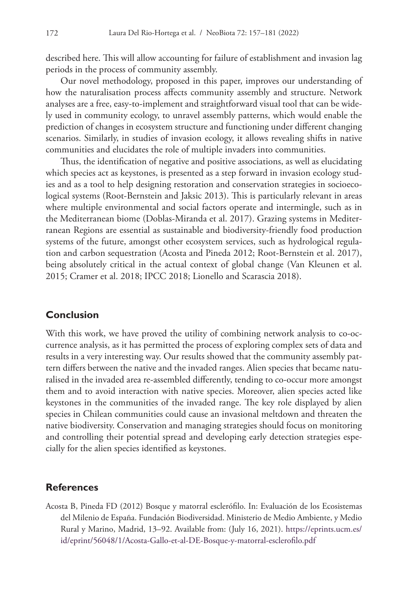described here. This will allow accounting for failure of establishment and invasion lag periods in the process of community assembly.

Our novel methodology, proposed in this paper, improves our understanding of how the naturalisation process affects community assembly and structure. Network analyses are a free, easy-to-implement and straightforward visual tool that can be widely used in community ecology, to unravel assembly patterns, which would enable the prediction of changes in ecosystem structure and functioning under different changing scenarios. Similarly, in studies of invasion ecology, it allows revealing shifts in native communities and elucidates the role of multiple invaders into communities.

Thus, the identification of negative and positive associations, as well as elucidating which species act as keystones, is presented as a step forward in invasion ecology studies and as a tool to help designing restoration and conservation strategies in socioecological systems (Root-Bernstein and Jaksic 2013). This is particularly relevant in areas where multiple environmental and social factors operate and intermingle, such as in the Mediterranean biome (Doblas-Miranda et al. 2017). Grazing systems in Mediterranean Regions are essential as sustainable and biodiversity-friendly food production systems of the future, amongst other ecosystem services, such as hydrological regulation and carbon sequestration (Acosta and Pineda 2012; Root-Bernstein et al. 2017), being absolutely critical in the actual context of global change (Van Kleunen et al. 2015; Cramer et al. 2018; IPCC 2018; Lionello and Scarascia 2018).

## **Conclusion**

With this work, we have proved the utility of combining network analysis to co-occurrence analysis, as it has permitted the process of exploring complex sets of data and results in a very interesting way. Our results showed that the community assembly pattern differs between the native and the invaded ranges. Alien species that became naturalised in the invaded area re-assembled differently, tending to co-occur more amongst them and to avoid interaction with native species. Moreover, alien species acted like keystones in the communities of the invaded range. The key role displayed by alien species in Chilean communities could cause an invasional meltdown and threaten the native biodiversity. Conservation and managing strategies should focus on monitoring and controlling their potential spread and developing early detection strategies especially for the alien species identified as keystones.

### **References**

Acosta B, Pineda FD (2012) Bosque y matorral esclerófilo. In: Evaluación de los Ecosistemas del Milenio de España. Fundación Biodiversidad. Ministerio de Medio Ambiente, y Medio Rural y Marino, Madrid, 13–92. Available from: (July 16, 2021). [https://eprints.ucm.es/](https://eprints.ucm.es/id/eprint/56048/1/Acosta-Gallo-et-al-DE-Bosque-y-matorral-esclerofilo.pdf) [id/eprint/56048/1/Acosta-Gallo-et-al-DE-Bosque-y-matorral-esclerofilo.pdf](https://eprints.ucm.es/id/eprint/56048/1/Acosta-Gallo-et-al-DE-Bosque-y-matorral-esclerofilo.pdf)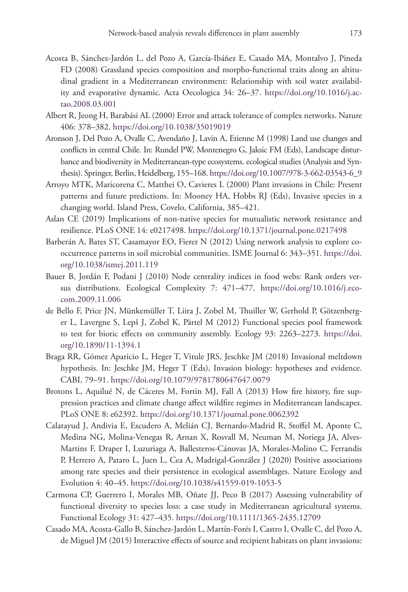- Acosta B, Sánchez-Jardón L, del Pozo A, García-Ibáñez E, Casado MA, Montalvo J, Pineda FD (2008) Grassland species composition and morpho-functional traits along an altitudinal gradient in a Mediterranean environment: Relationship with soil water availability and evaporative dynamic. Acta Oecologica 34: 26–37. [https://doi.org/10.1016/j.ac](https://doi.org/10.1016/j.actao.2008.03.001)[tao.2008.03.001](https://doi.org/10.1016/j.actao.2008.03.001)
- Albert R, Jeong H, Barabási AL (2000) Error and attack tolerance of complex networks. Nature 406: 378–382.<https://doi.org/10.1038/35019019>
- Aronson J, Del Pozo A, Ovalle C, Avendaño J, Lavin A, Etienne M (1998) Land use changes and conflicts in central Chile. In: Rundel PW, Montenegro G, Jaksic FM (Eds), Landscape disturbance and biodiversity in Mediterranean-type ecosystems. ecological studies (Analysis and Synthesis). Springer, Berlin, Heidelberg, 155–168. [https://doi.org/10.1007/978-3-662-03543-6\\_9](https://doi.org/10.1007/978-3-662-03543-6_9)
- Arroyo MTK, Maricorena C, Matthei O, Cavieres L (2000) Plant invasions in Chile: Present patterns and future predictions. In: Mooney HA, Hobbs RJ (Eds), Invasive species in a changing world. Island Press, Covelo, California, 385–421.
- Aslan CE (2019) Implications of non-native species for mutualistic network resistance and resilience. PLoS ONE 14: e0217498. <https://doi.org/10.1371/journal.pone.0217498>
- Barberán A, Bates ST, Casamayor EO, Fierer N (2012) Using network analysis to explore cooccurrence patterns in soil microbial communities. ISME Journal 6: 343–351. [https://doi.](https://doi.org/10.1038/ismej.2011.119) [org/10.1038/ismej.2011.119](https://doi.org/10.1038/ismej.2011.119)
- Bauer B, Jordán F, Podani J (2010) Node centrality indices in food webs: Rank orders versus distributions. Ecological Complexity 7: 471–477. [https://doi.org/10.1016/j.eco](https://doi.org/10.1016/j.ecocom.2009.11.006)[com.2009.11.006](https://doi.org/10.1016/j.ecocom.2009.11.006)
- de Bello F, Price JN, Münkemüller T, Liira J, Zobel M, Thuiller W, Gerhold P, Götzenberger L, Lavergne S, Lepš J, Zobel K, Pärtel M (2012) Functional species pool framework to test for biotic effects on community assembly. Ecology 93: 2263–2273. [https://doi.](https://doi.org/10.1890/11-1394.1) [org/10.1890/11-1394.1](https://doi.org/10.1890/11-1394.1)
- Braga RR, Gómez Aparicio L, Heger T, Vitule JRS, Jeschke JM (2018) Invasional meltdown hypothesis. In: Jeschke JM, Heger T (Eds), Invasion biology: hypotheses and evidence. CABI, 79–91.<https://doi.org/10.1079/9781780647647.0079>
- Brotons L, Aquilué N, de Cáceres M, Fortin MJ, Fall A (2013) How fire history, fire suppression practices and climate change affect wildfire regimes in Mediterranean landscapes. PLoS ONE 8: e62392. <https://doi.org/10.1371/journal.pone.0062392>
- Calatayud J, Andivia E, Escudero A, Melián CJ, Bernardo-Madrid R, Stoffel M, Aponte C, Medina NG, Molina-Venegas R, Arnan X, Rosvall M, Neuman M, Noriega JA, Alves-Martins F, Draper I, Luzuriaga A, Ballesteros-Cánovas JA, Morales-Molino C, Ferrandis P, Herrero A, Pataro L, Juen L, Cea A, Madrigal-González J (2020) Positive associations among rare species and their persistence in ecological assemblages. Nature Ecology and Evolution 4: 40–45. <https://doi.org/10.1038/s41559-019-1053-5>
- Carmona CP, Guerrero I, Morales MB, Oñate JJ, Peco B (2017) Assessing vulnerability of functional diversity to species loss: a case study in Mediterranean agricultural systems. Functional Ecology 31: 427–435.<https://doi.org/10.1111/1365-2435.12709>
- Casado MA, Acosta-Gallo B, Sánchez-Jardón L, Martín-Forés I, Castro I, Ovalle C, del Pozo A, de Miguel JM (2015) Interactive effects of source and recipient habitats on plant invasions: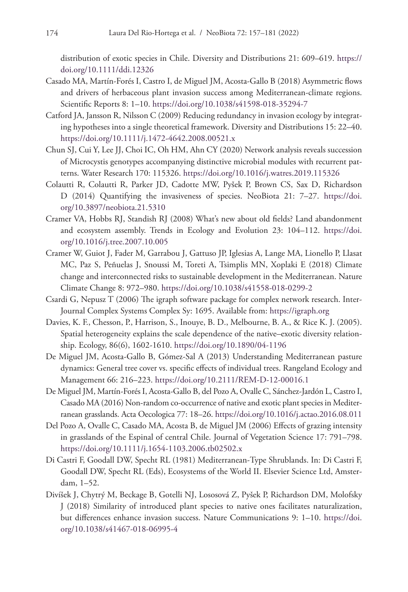distribution of exotic species in Chile. Diversity and Distributions 21: 609–619. [https://](https://doi.org/10.1111/ddi.12326) [doi.org/10.1111/ddi.12326](https://doi.org/10.1111/ddi.12326)

- Casado MA, Martín-Forés I, Castro I, de Miguel JM, Acosta-Gallo B (2018) Asymmetric flows and drivers of herbaceous plant invasion success among Mediterranean-climate regions. Scientific Reports 8: 1–10. <https://doi.org/10.1038/s41598-018-35294-7>
- Catford JA, Jansson R, Nilsson C (2009) Reducing redundancy in invasion ecology by integrating hypotheses into a single theoretical framework. Diversity and Distributions 15: 22–40. <https://doi.org/10.1111/j.1472-4642.2008.00521.x>
- Chun SJ, Cui Y, Lee JJ, Choi IC, Oh HM, Ahn CY (2020) Network analysis reveals succession of Microcystis genotypes accompanying distinctive microbial modules with recurrent patterns. Water Research 170: 115326.<https://doi.org/10.1016/j.watres.2019.115326>
- Colautti R, Colautti R, Parker JD, Cadotte MW, Pyšek P, Brown CS, Sax D, Richardson D (2014) Quantifying the invasiveness of species. NeoBiota 21: 7–27. [https://doi.](https://doi.org/10.3897/neobiota.21.5310) [org/10.3897/neobiota.21.5310](https://doi.org/10.3897/neobiota.21.5310)
- Cramer VA, Hobbs RJ, Standish RJ (2008) What's new about old fields? Land abandonment and ecosystem assembly. Trends in Ecology and Evolution 23: 104–112. [https://doi.](https://doi.org/10.1016/j.tree.2007.10.005) [org/10.1016/j.tree.2007.10.005](https://doi.org/10.1016/j.tree.2007.10.005)
- Cramer W, Guiot J, Fader M, Garrabou J, Gattuso JP, Iglesias A, Lange MA, Lionello P, Llasat MC, Paz S, Peñuelas J, Snoussi M, Toreti A, Tsimplis MN, Xoplaki E (2018) Climate change and interconnected risks to sustainable development in the Mediterranean. Nature Climate Change 8: 972–980.<https://doi.org/10.1038/s41558-018-0299-2>
- Csardi G, Nepusz T (2006) The igraph software package for complex network research. Inter-Journal Complex Systems Complex Sy: 1695. Available from:<https://igraph.org>
- Davies, K. F., Chesson, P., Harrison, S., Inouye, B. D., Melbourne, B. A., & Rice K. J. (2005). Spatial heterogeneity explains the scale dependence of the native–exotic diversity relationship. Ecology, 86(6), 1602-1610. <https://doi.org/10.1890/04-1196>
- De Miguel JM, Acosta-Gallo B, Gómez-Sal A (2013) Understanding Mediterranean pasture dynamics: General tree cover vs. specific effects of individual trees. Rangeland Ecology and Management 66: 216–223. <https://doi.org/10.2111/REM-D-12-00016.1>
- De Miguel JM, Martín-Forés I, Acosta-Gallo B, del Pozo A, Ovalle C, Sánchez-Jardón L, Castro I, Casado MA (2016) Non-random co-occurrence of native and exotic plant species in Mediterranean grasslands. Acta Oecologica 77: 18–26. <https://doi.org/10.1016/j.actao.2016.08.011>
- Del Pozo A, Ovalle C, Casado MA, Acosta B, de Miguel JM (2006) Effects of grazing intensity in grasslands of the Espinal of central Chile. Journal of Vegetation Science 17: 791–798. <https://doi.org/10.1111/j.1654-1103.2006.tb02502.x>
- Di Castri F, Goodall DW, Specht RL (1981) Mediterranean-Type Shrublands. In: Di Castri F, Goodall DW, Specht RL (Eds), Ecosystems of the World II. Elsevier Science Ltd, Amsterdam, 1–52.
- Divíšek J, Chytrý M, Beckage B, Gotelli NJ, Lososová Z, Pyšek P, Richardson DM, Molofsky J (2018) Similarity of introduced plant species to native ones facilitates naturalization, but differences enhance invasion success. Nature Communications 9: 1–10. [https://doi.](https://doi.org/10.1038/s41467-018-06995-4) [org/10.1038/s41467-018-06995-4](https://doi.org/10.1038/s41467-018-06995-4)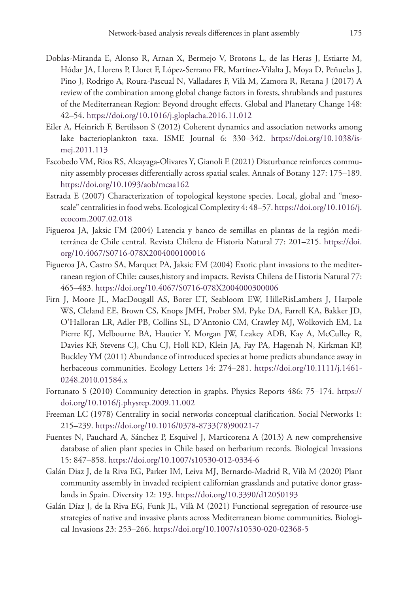- Doblas-Miranda E, Alonso R, Arnan X, Bermejo V, Brotons L, de las Heras J, Estiarte M, Hódar JA, Llorens P, Lloret F, López-Serrano FR, Martínez-Vilalta J, Moya D, Peñuelas J, Pino J, Rodrigo A, Roura-Pascual N, Valladares F, Vilà M, Zamora R, Retana J (2017) A review of the combination among global change factors in forests, shrublands and pastures of the Mediterranean Region: Beyond drought effects. Global and Planetary Change 148: 42–54.<https://doi.org/10.1016/j.gloplacha.2016.11.012>
- Eiler A, Heinrich F, Bertilsson S (2012) Coherent dynamics and association networks among lake bacterioplankton taxa. ISME Journal 6: 330–342. [https://doi.org/10.1038/is](https://doi.org/10.1038/ismej.2011.113)[mej.2011.113](https://doi.org/10.1038/ismej.2011.113)
- Escobedo VM, Rios RS, Alcayaga-Olivares Y, Gianoli E (2021) Disturbance reinforces community assembly processes differentially across spatial scales. Annals of Botany 127: 175–189. <https://doi.org/10.1093/aob/mcaa162>
- Estrada E (2007) Characterization of topological keystone species. Local, global and "mesoscale" centralities in food webs. Ecological Complexity 4: 48–57. [https://doi.org/10.1016/j.](https://doi.org/10.1016/j.ecocom.2007.02.018) [ecocom.2007.02.018](https://doi.org/10.1016/j.ecocom.2007.02.018)
- Figueroa JA, Jaksic FM (2004) Latencia y banco de semillas en plantas de la región mediterránea de Chile central. Revista Chilena de Historia Natural 77: 201–215. [https://doi.](https://doi.org/10.4067/S0716-078X2004000100016) [org/10.4067/S0716-078X2004000100016](https://doi.org/10.4067/S0716-078X2004000100016)
- Figueroa JA, Castro SA, Marquet PA, Jaksic FM (2004) Exotic plant invasions to the mediterranean region of Chile: causes, history and impacts. Revista Chilena de Historia Natural 77: 465–483.<https://doi.org/10.4067/S0716-078X2004000300006>
- Firn J, Moore JL, MacDougall AS, Borer ET, Seabloom EW, HilleRisLambers J, Harpole WS, Cleland EE, Brown CS, Knops JMH, Prober SM, Pyke DA, Farrell KA, Bakker JD, O'Halloran LR, Adler PB, Collins SL, D'Antonio CM, Crawley MJ, Wolkovich EM, La Pierre KJ, Melbourne BA, Hautier Y, Morgan JW, Leakey ADB, Kay A, McCulley R, Davies KF, Stevens CJ, Chu CJ, Holl KD, Klein JA, Fay PA, Hagenah N, Kirkman KP, Buckley YM (2011) Abundance of introduced species at home predicts abundance away in herbaceous communities. Ecology Letters 14: 274–281. [https://doi.org/10.1111/j.1461-](https://doi.org/10.1111/j.1461-0248.2010.01584.x) [0248.2010.01584.x](https://doi.org/10.1111/j.1461-0248.2010.01584.x)
- Fortunato S (2010) Community detection in graphs. Physics Reports 486: 75–174. [https://](https://doi.org/10.1016/j.physrep.2009.11.002) [doi.org/10.1016/j.physrep.2009.11.002](https://doi.org/10.1016/j.physrep.2009.11.002)
- Freeman LC (1978) Centrality in social networks conceptual clarification. Social Networks 1: 215–239. [https://doi.org/10.1016/0378-8733\(78\)90021-7](https://doi.org/10.1016/0378-8733(78)90021-7)
- Fuentes N, Pauchard A, Sánchez P, Esquivel J, Marticorena A (2013) A new comprehensive database of alien plant species in Chile based on herbarium records. Biological Invasions 15: 847–858.<https://doi.org/10.1007/s10530-012-0334-6>
- Galán Diaz J, de la Riva EG, Parker IM, Leiva MJ, Bernardo-Madrid R, Vilà M (2020) Plant community assembly in invaded recipient californian grasslands and putative donor grasslands in Spain. Diversity 12: 193.<https://doi.org/10.3390/d12050193>
- Galán Díaz J, de la Riva EG, Funk JL, Vilà M (2021) Functional segregation of resource-use strategies of native and invasive plants across Mediterranean biome communities. Biological Invasions 23: 253–266. <https://doi.org/10.1007/s10530-020-02368-5>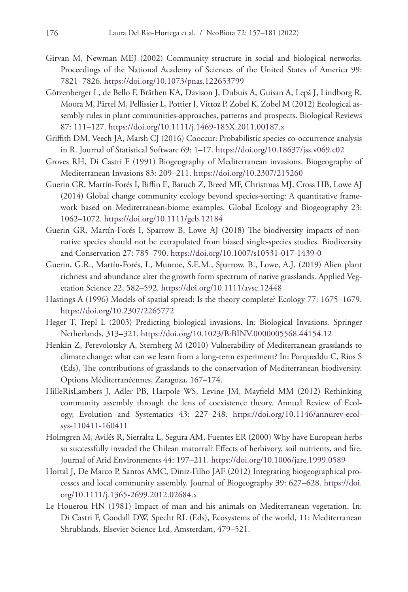- Girvan M, Newman MEJ (2002) Community structure in social and biological networks. Proceedings of the National Academy of Sciences of the United States of America 99: 7821–7826.<https://doi.org/10.1073/pnas.122653799>
- Götzenberger L, de Bello F, Bråthen KA, Davison J, Dubuis A, Guisan A, Lepš J, Lindborg R, Moora M, Pärtel M, Pellissier L, Pottier J, Vittoz P, Zobel K, Zobel M (2012) Ecological assembly rules in plant communities-approaches, patterns and prospects. Biological Reviews 87: 111–127.<https://doi.org/10.1111/j.1469-185X.2011.00187.x>
- Griffith DM, Veech JA, Marsh CJ (2016) Cooccur: Probabilistic species co-occurrence analysis in R. Journal of Statistical Software 69: 1–17.<https://doi.org/10.18637/jss.v069.c02>
- Groves RH, Di Castri F (1991) Biogeography of Mediterranean invasions. Biogeography of Mediterranean Invasions 83: 209–211.<https://doi.org/10.2307/215260>
- Guerin GR, Martín-Forés I, Biffin E, Baruch Z, Breed MF, Christmas MJ, Cross HB, Lowe AJ (2014) Global change community ecology beyond species-sorting: A quantitative framework based on Mediterranean-biome examples. Global Ecology and Biogeography 23: 1062–1072.<https://doi.org/10.1111/geb.12184>
- Guerin GR, Martín-Forés I, Sparrow B, Lowe AJ (2018) The biodiversity impacts of nonnative species should not be extrapolated from biased single-species studies. Biodiversity and Conservation 27: 785–790. <https://doi.org/10.1007/s10531-017-1439-0>
- Guerin, G.R., Martín-Forés, I., Munroe, S.E.M., Sparrow, B., Lowe, A.J. (2019) Alien plant richness and abundance alter the growth form spectrum of native grasslands. Applied Vegetation Science 22, 582–592. <https://doi.org/10.1111/avsc.12448>
- Hastings A (1996) Models of spatial spread: Is the theory complete? Ecology 77: 1675–1679. <https://doi.org/10.2307/2265772>
- Heger T, Trepl L (2003) Predicting biological invasions. In: Biological Invasions. Springer Netherlands, 313–321. <https://doi.org/10.1023/B:BINV.0000005568.44154.12>
- Henkin Z, Perevolotsky A, Sternberg M (2010) Vulnerability of Mediterranean grasslands to climate change: what can we learn from a long-term experiment? In: Porqueddu C, Rios S (Eds), The contributions of grasslands to the conservation of Mediterranean biodiversity. Options Méditerranéennes, Zaragoza, 167–174.
- HilleRisLambers J, Adler PB, Harpole WS, Levine JM, Mayfield MM (2012) Rethinking community assembly through the lens of coexistence theory. Annual Review of Ecology, Evolution and Systematics 43: 227–248. [https://doi.org/10.1146/annurev-ecol](https://doi.org/10.1146/annurev-ecolsys-110411-160411)[sys-110411-160411](https://doi.org/10.1146/annurev-ecolsys-110411-160411)
- Holmgren M, Avilés R, Sierralta L, Segura AM, Fuentes ER (2000) Why have European herbs so successfully invaded the Chilean matorral? Effects of herbivory, soil nutrients, and fire. Journal of Arid Environments 44: 197–211.<https://doi.org/10.1006/jare.1999.0589>
- Hortal J, De Marco P, Santos AMC, Diniz-Filho JAF (2012) Integrating biogeographical processes and local community assembly. Journal of Biogeography 39: 627–628. [https://doi.](https://doi.org/10.1111/j.1365-2699.2012.02684.x) [org/10.1111/j.1365-2699.2012.02684.x](https://doi.org/10.1111/j.1365-2699.2012.02684.x)
- Le Houerou HN (1981) Impact of man and his animals on Mediterranean vegetation. In: Di Castri F, Goodall DW, Specht RL (Eds), Ecosystems of the world, 11: Mediterranean Shrublands. Elsevier Science Ltd, Amsterdam, 479–521.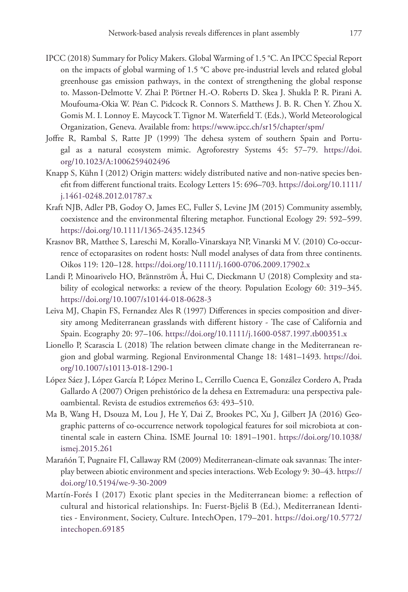- IPCC (2018) Summary for Policy Makers. Global Warming of 1.5 °C. An IPCC Special Report on the impacts of global warming of 1.5 °C above pre-industrial levels and related global greenhouse gas emission pathways, in the context of strengthening the global response to. Masson-Delmotte V. Zhai P. Pörtner H.-O. Roberts D. Skea J. Shukla P. R. Pirani A. Moufouma-Okia W. Péan C. Pidcock R. Connors S. Matthews J. B. R. Chen Y. Zhou X. Gomis M. I. Lonnoy E. Maycock T. Tignor M. Waterfield T. (Eds.), World Meteorological Organization, Geneva. Available from:<https://www.ipcc.ch/sr15/chapter/spm/>
- Joffre R, Rambal S, Ratte JP (1999) The dehesa system of southern Spain and Portugal as a natural ecosystem mimic. Agroforestry Systems 45: 57–79. [https://doi.](https://doi.org/10.1023/A:1006259402496) [org/10.1023/A:1006259402496](https://doi.org/10.1023/A:1006259402496)
- Knapp S, Kühn I (2012) Origin matters: widely distributed native and non-native species benefit from different functional traits. Ecology Letters 15: 696–703. [https://doi.org/10.1111/](https://doi.org/10.1111/j.1461-0248.2012.01787.x) [j.1461-0248.2012.01787.x](https://doi.org/10.1111/j.1461-0248.2012.01787.x)
- Kraft NJB, Adler PB, Godoy O, James EC, Fuller S, Levine JM (2015) Community assembly, coexistence and the environmental filtering metaphor. Functional Ecology 29: 592–599. <https://doi.org/10.1111/1365-2435.12345>
- Krasnov BR, Matthee S, Lareschi M, Korallo-Vinarskaya NP, Vinarski M V. (2010) Co-occurrence of ectoparasites on rodent hosts: Null model analyses of data from three continents. Oikos 119: 120–128.<https://doi.org/10.1111/j.1600-0706.2009.17902.x>
- Landi P, Minoarivelo HO, Brännström Å, Hui C, Dieckmann U (2018) Complexity and stability of ecological networks: a review of the theory. Population Ecology 60: 319–345. <https://doi.org/10.1007/s10144-018-0628-3>
- Leiva MJ, Chapin FS, Fernandez Ales R (1997) Differences in species composition and diversity among Mediterranean grasslands with different history - The case of California and Spain. Ecography 20: 97–106. <https://doi.org/10.1111/j.1600-0587.1997.tb00351.x>
- Lionello P, Scarascia L (2018) The relation between climate change in the Mediterranean region and global warming. Regional Environmental Change 18: 1481–1493. [https://doi.](https://doi.org/10.1007/s10113-018-1290-1) [org/10.1007/s10113-018-1290-1](https://doi.org/10.1007/s10113-018-1290-1)
- López Sáez J, López García P, López Merino L, Cerrillo Cuenca E, González Cordero A, Prada Gallardo A (2007) Origen prehistórico de la dehesa en Extremadura: una perspectiva paleoambiental. Revista de estudios extremeños 63: 493–510.
- Ma B, Wang H, Dsouza M, Lou J, He Y, Dai Z, Brookes PC, Xu J, Gilbert JA (2016) Geographic patterns of co-occurrence network topological features for soil microbiota at continental scale in eastern China. ISME Journal 10: 1891–1901. [https://doi.org/10.1038/](https://doi.org/10.1038/ismej.2015.261) [ismej.2015.261](https://doi.org/10.1038/ismej.2015.261)
- Marañón T, Pugnaire FI, Callaway RM (2009) Mediterranean-climate oak savannas: The interplay between abiotic environment and species interactions. Web Ecology 9: 30–43. [https://](https://doi.org/10.5194/we-9-30-2009) [doi.org/10.5194/we-9-30-2009](https://doi.org/10.5194/we-9-30-2009)
- Martín-Forés I (2017) Exotic plant species in the Mediterranean biome: a reflection of cultural and historical relationships. In: Fuerst-Bjeliš B (Ed.), Mediterranean Identities - Environment, Society, Culture. IntechOpen, 179–201. [https://doi.org/10.5772/](https://doi.org/10.5772/intechopen.69185) [intechopen.69185](https://doi.org/10.5772/intechopen.69185)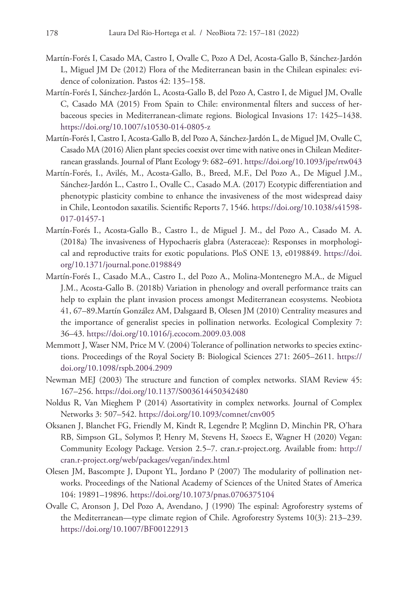- Martín-Forés I, Casado MA, Castro I, Ovalle C, Pozo A Del, Acosta-Gallo B, Sánchez-Jardón L, Miguel JM De (2012) Flora of the Mediterranean basin in the Chilean espinales: evidence of colonization. Pastos 42: 135–158.
- Martín-Forés I, Sánchez-Jardón L, Acosta-Gallo B, del Pozo A, Castro I, de Miguel JM, Ovalle C, Casado MA (2015) From Spain to Chile: environmental filters and success of herbaceous species in Mediterranean-climate regions. Biological Invasions 17: 1425–1438. <https://doi.org/10.1007/s10530-014-0805-z>
- Martín-Forés I, Castro I, Acosta-Gallo B, del Pozo A, Sánchez-Jardón L, de Miguel JM, Ovalle C, Casado MA (2016) Alien plant species coexist over time with native ones in Chilean Mediterranean grasslands. Journal of Plant Ecology 9: 682–691.<https://doi.org/10.1093/jpe/rtw043>
- Martín-Forés, I., Avilés, M., Acosta-Gallo, B., Breed, M.F., Del Pozo A., De Miguel J.M., Sánchez-Jardón L., Castro I., Ovalle C., Casado M.A. (2017) Ecotypic differentiation and phenotypic plasticity combine to enhance the invasiveness of the most widespread daisy in Chile, Leontodon saxatilis. Scientific Reports 7, 1546. [https://doi.org/10.1038/s41598-](https://doi.org/10.1038/s41598-017-01457-1) [017-01457-1](https://doi.org/10.1038/s41598-017-01457-1)
- Martín-Forés I., Acosta-Gallo B., Castro I., de Miguel J. M., del Pozo A., Casado M. A. (2018a) The invasiveness of Hypochaeris glabra (Asteraceae): Responses in morphological and reproductive traits for exotic populations. PloS ONE 13, e0198849. [https://doi.](https://doi.org/10.1371/journal.pone.0198849) [org/10.1371/journal.pone.0198849](https://doi.org/10.1371/journal.pone.0198849)
- Martín-Forés I., Casado M.A., Castro I., del Pozo A., Molina-Montenegro M.A., de Miguel J.M., Acosta-Gallo B. (2018b) Variation in phenology and overall performance traits can help to explain the plant invasion process amongst Mediterranean ecosystems. Neobiota 41, 67–89.Martín González AM, Dalsgaard B, Olesen JM (2010) Centrality measures and the importance of generalist species in pollination networks. Ecological Complexity 7: 36–43.<https://doi.org/10.1016/j.ecocom.2009.03.008>
- Memmott J, Waser NM, Price M V. (2004) Tolerance of pollination networks to species extinctions. Proceedings of the Royal Society B: Biological Sciences 271: 2605–2611. [https://](https://doi.org/10.1098/rspb.2004.2909) [doi.org/10.1098/rspb.2004.2909](https://doi.org/10.1098/rspb.2004.2909)
- Newman MEJ (2003) The structure and function of complex networks. SIAM Review 45: 167–256.<https://doi.org/10.1137/S003614450342480>
- Noldus R, Van Mieghem P (2014) Assortativity in complex networks. Journal of Complex Networks 3: 507–542.<https://doi.org/10.1093/comnet/cnv005>
- Oksanen J, Blanchet FG, Friendly M, Kindt R, Legendre P, Mcglinn D, Minchin PR, O'hara RB, Simpson GL, Solymos P, Henry M, Stevens H, Szoecs E, Wagner H (2020) Vegan: Community Ecology Package. Version 2.5–7. cran.r-project.org. Available from: [http://](http://cran.r-project.org/web/packages/vegan/index.html) [cran.r-project.org/web/packages/vegan/index.html](http://cran.r-project.org/web/packages/vegan/index.html)
- Olesen JM, Bascompte J, Dupont YL, Jordano P (2007) The modularity of pollination networks. Proceedings of the National Academy of Sciences of the United States of America 104: 19891–19896.<https://doi.org/10.1073/pnas.0706375104>
- Ovalle C, Aronson J, Del Pozo A, Avendano, J (1990) The espinal: Agroforestry systems of the Mediterranean—type climate region of Chile. Agroforestry Systems 10(3): 213–239. <https://doi.org/10.1007/BF00122913>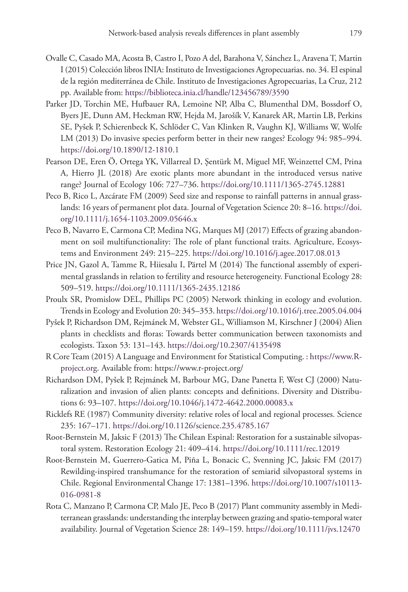- Ovalle C, Casado MA, Acosta B, Castro I, Pozo A del, Barahona V, Sánchez L, Aravena T, Martin I (2015) Colección libros INIA: Instituto de Investigaciones Agropecuarias. no. 34. El espinal de la región mediterránea de Chile. Instituto de Investigaciones Agropecuarias, La Cruz, 212 pp. Available from:<https://biblioteca.inia.cl/handle/123456789/3590>
- Parker JD, Torchin ME, Hufbauer RA, Lemoine NP, Alba C, Blumenthal DM, Bossdorf O, Byers JE, Dunn AM, Heckman RW, Hejda M, Jarošík V, Kanarek AR, Martin LB, Perkins SE, Pyšek P, Schierenbeck K, Schlöder C, Van Klinken R, Vaughn KJ, Williams W, Wolfe LM (2013) Do invasive species perform better in their new ranges? Ecology 94: 985–994. <https://doi.org/10.1890/12-1810.1>
- Pearson DE, Eren Ö, Ortega YK, Villarreal D, Şentürk M, Miguel MF, Weinzettel CM, Prina A, Hierro JL (2018) Are exotic plants more abundant in the introduced versus native range? Journal of Ecology 106: 727–736.<https://doi.org/10.1111/1365-2745.12881>
- Peco B, Rico L, Azcárate FM (2009) Seed size and response to rainfall patterns in annual grasslands: 16 years of permanent plot data. Journal of Vegetation Science 20: 8–16. [https://doi.](https://doi.org/10.1111/j.1654-1103.2009.05646.x) [org/10.1111/j.1654-1103.2009.05646.x](https://doi.org/10.1111/j.1654-1103.2009.05646.x)
- Peco B, Navarro E, Carmona CP, Medina NG, Marques MJ (2017) Effects of grazing abandonment on soil multifunctionality: The role of plant functional traits. Agriculture, Ecosystems and Environment 249: 215–225. <https://doi.org/10.1016/j.agee.2017.08.013>
- Price JN, Gazol A, Tamme R, Hiiesalu I, Pärtel M (2014) The functional assembly of experimental grasslands in relation to fertility and resource heterogeneity. Functional Ecology 28: 509–519.<https://doi.org/10.1111/1365-2435.12186>
- Proulx SR, Promislow DEL, Phillips PC (2005) Network thinking in ecology and evolution. Trends in Ecology and Evolution 20: 345–353.<https://doi.org/10.1016/j.tree.2005.04.004>
- Pyšek P, Richardson DM, Rejmánek M, Webster GL, Williamson M, Kirschner J (2004) Alien plants in checklists and floras: Towards better communication between taxonomists and ecologists. Taxon 53: 131–143.<https://doi.org/10.2307/4135498>
- R Core Team (2015) A Language and Environment for Statistical Computing. : [https://www.R](https://www.R-project.org)[project.org](https://www.R-project.org). Available from:<https://www.r-project.org/>
- Richardson DM, Pyšek P, Rejmánek M, Barbour MG, Dane Panetta F, West CJ (2000) Naturalization and invasion of alien plants: concepts and definitions. Diversity and Distributions 6: 93–107. <https://doi.org/10.1046/j.1472-4642.2000.00083.x>
- Ricklefs RE (1987) Community diversity: relative roles of local and regional processes. Science 235: 167–171.<https://doi.org/10.1126/science.235.4785.167>
- Root-Bernstein M, Jaksic F (2013) The Chilean Espinal: Restoration for a sustainable silvopastoral system. Restoration Ecology 21: 409–414. <https://doi.org/10.1111/rec.12019>
- Root-Bernstein M, Guerrero-Gatica M, Piña L, Bonacic C, Svenning JC, Jaksic FM (2017) Rewilding-inspired transhumance for the restoration of semiarid silvopastoral systems in Chile. Regional Environmental Change 17: 1381–1396. [https://doi.org/10.1007/s10113-](https://doi.org/10.1007/s10113-016-0981-8) [016-0981-8](https://doi.org/10.1007/s10113-016-0981-8)
- Rota C, Manzano P, Carmona CP, Malo JE, Peco B (2017) Plant community assembly in Mediterranean grasslands: understanding the interplay between grazing and spatio-temporal water availability. Journal of Vegetation Science 28: 149–159.<https://doi.org/10.1111/jvs.12470>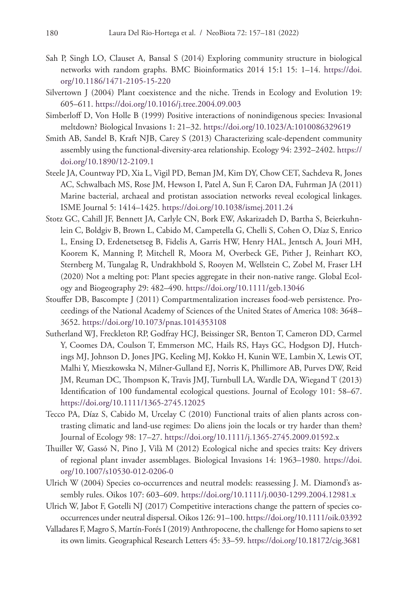- Sah P, Singh LO, Clauset A, Bansal S (2014) Exploring community structure in biological networks with random graphs. BMC Bioinformatics 2014 15:1 15: 1–14. [https://doi.](https://doi.org/10.1186/1471-2105-15-220) [org/10.1186/1471-2105-15-220](https://doi.org/10.1186/1471-2105-15-220)
- Silvertown J (2004) Plant coexistence and the niche. Trends in Ecology and Evolution 19: 605–611.<https://doi.org/10.1016/j.tree.2004.09.003>
- Simberloff D, Von Holle B (1999) Positive interactions of nonindigenous species: Invasional meltdown? Biological Invasions 1: 21–32.<https://doi.org/10.1023/A:1010086329619>
- Smith AB, Sandel B, Kraft NJB, Carey S (2013) Characterizing scale-dependent community assembly using the functional-diversity-area relationship. Ecology 94: 2392–2402. [https://](https://doi.org/10.1890/12-2109.1) [doi.org/10.1890/12-2109.1](https://doi.org/10.1890/12-2109.1)
- Steele JA, Countway PD, Xia L, Vigil PD, Beman JM, Kim DY, Chow CET, Sachdeva R, Jones AC, Schwalbach MS, Rose JM, Hewson I, Patel A, Sun F, Caron DA, Fuhrman JA (2011) Marine bacterial, archaeal and protistan association networks reveal ecological linkages. ISME Journal 5: 1414–1425. <https://doi.org/10.1038/ismej.2011.24>
- Stotz GC, Cahill JF, Bennett JA, Carlyle CN, Bork EW, Askarizadeh D, Bartha S, Beierkuhnlein C, Boldgiv B, Brown L, Cabido M, Campetella G, Chelli S, Cohen O, Díaz S, Enrico L, Ensing D, Erdenetsetseg B, Fidelis A, Garris HW, Henry HAL, Jentsch A, Jouri MH, Koorem K, Manning P, Mitchell R, Moora M, Overbeck GE, Pither J, Reinhart KO, Sternberg M, Tungalag R, Undrakhbold S, Rooyen M, Wellstein C, Zobel M, Fraser LH (2020) Not a melting pot: Plant species aggregate in their non‐native range. Global Ecology and Biogeography 29: 482–490.<https://doi.org/10.1111/geb.13046>
- Stouffer DB, Bascompte J (2011) Compartmentalization increases food-web persistence. Proceedings of the National Academy of Sciences of the United States of America 108: 3648– 3652.<https://doi.org/10.1073/pnas.1014353108>
- Sutherland WJ, Freckleton RP, Godfray HCJ, Beissinger SR, Benton T, Cameron DD, Carmel Y, Coomes DA, Coulson T, Emmerson MC, Hails RS, Hays GC, Hodgson DJ, Hutchings MJ, Johnson D, Jones JPG, Keeling MJ, Kokko H, Kunin WE, Lambin X, Lewis OT, Malhi Y, Mieszkowska N, Milner-Gulland EJ, Norris K, Phillimore AB, Purves DW, Reid JM, Reuman DC, Thompson K, Travis JMJ, Turnbull LA, Wardle DA, Wiegand T (2013) Identification of 100 fundamental ecological questions. Journal of Ecology 101: 58–67. <https://doi.org/10.1111/1365-2745.12025>
- Tecco PA, Díaz S, Cabido M, Urcelay C (2010) Functional traits of alien plants across contrasting climatic and land-use regimes: Do aliens join the locals or try harder than them? Journal of Ecology 98: 17–27. <https://doi.org/10.1111/j.1365-2745.2009.01592.x>
- Thuiller W, Gassó N, Pino J, Vilà M (2012) Ecological niche and species traits: Key drivers of regional plant invader assemblages. Biological Invasions 14: 1963–1980. [https://doi.](https://doi.org/10.1007/s10530-012-0206-0) [org/10.1007/s10530-012-0206-0](https://doi.org/10.1007/s10530-012-0206-0)
- Ulrich W (2004) Species co-occurrences and neutral models: reassessing J. M. Diamond's assembly rules. Oikos 107: 603–609. <https://doi.org/10.1111/j.0030-1299.2004.12981.x>
- Ulrich W, Jabot F, Gotelli NJ (2017) Competitive interactions change the pattern of species cooccurrences under neutral dispersal. Oikos 126: 91–100.<https://doi.org/10.1111/oik.03392>
- Valladares F, Magro S, Martín-Forés I (2019) Anthropocene, the challenge for Homo sapiens to set its own limits. Geographical Research Letters 45: 33–59. <https://doi.org/10.18172/cig.3681>